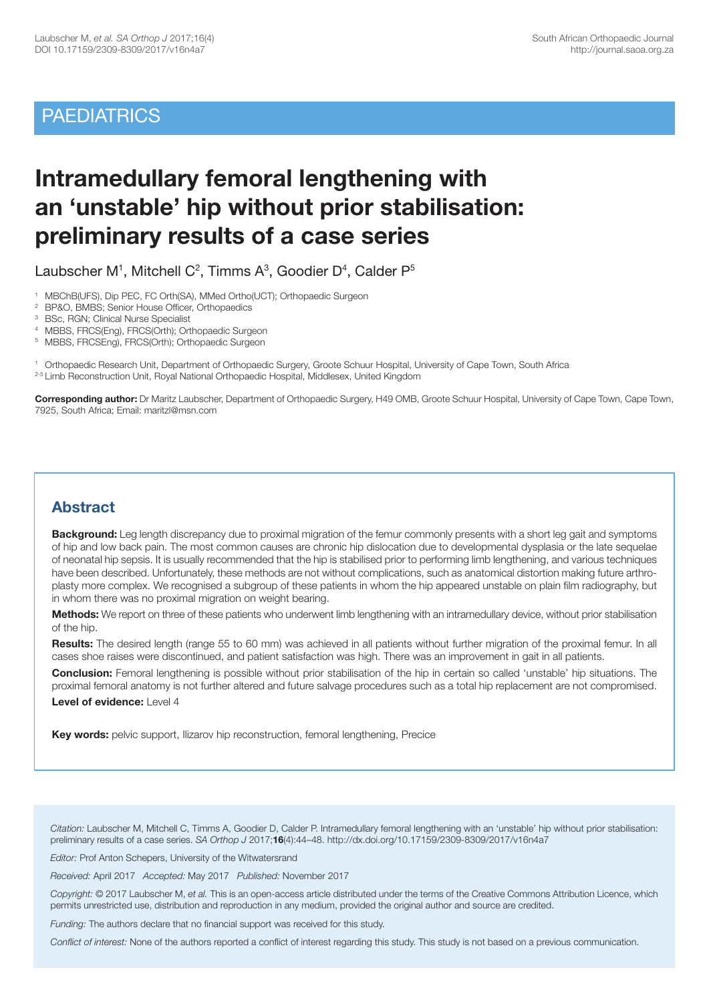# **PAEDIATRICS**

# **Intramedullary femoral lengthening with an 'unstable' hip without prior stabilisation: preliminary results of a case series**

Laubscher M<sup>1</sup>, Mitchell C<sup>2</sup>, Timms A<sup>3</sup>, Goodier D<sup>4</sup>, Calder P<sup>5</sup>

1 MBChB(UFS), Dip PEC, FC Orth(SA), MMed Ortho(UCT); Orthopaedic Surgeon

2 BP&O, BMBS; Senior House Officer, Orthopaedics

3 BSc, RGN; Clinical Nurse Specialist

4 MBBS, FRCS(Eng), FRCS(Orth); Orthopaedic Surgeon

5 MBBS, FRCSEng), FRCS(Orth); Orthopaedic Surgeon

1 Orthopaedic Research Unit, Department of Orthopaedic Surgery, Groote Schuur Hospital, University of Cape Town, South Africa <sup>2-5</sup> Limb Reconstruction Unit, Royal National Orthopaedic Hospital, Middlesex, United Kingdom

**Corresponding author:** Dr Maritz Laubscher, Department of Orthopaedic Surgery, H49 OMB, Groote Schuur Hospital, University of Cape Town, Cape Town, 7925, South Africa; Email: maritzl@msn.com

## **Abstract**

**Background:** Leg length discrepancy due to proximal migration of the femur commonly presents with a short leg gait and symptoms of hip and low back pain. The most common causes are chronic hip dislocation due to developmental dysplasia or the late sequelae of neonatal hip sepsis. It is usually recommended that the hip is stabilised prior to performing limb lengthening, and various techniques have been described. Unfortunately, these methods are not without complications, such as anatomical distortion making future arthroplasty more complex. We recognised a subgroup of these patients in whom the hip appeared unstable on plain film radiography, but in whom there was no proximal migration on weight bearing.

**Methods:** We report on three of these patients who underwent limb lengthening with an intramedullary device, without prior stabilisation of the hip.

**Results:** The desired length (range 55 to 60 mm) was achieved in all patients without further migration of the proximal femur. In all cases shoe raises were discontinued, and patient satisfaction was high. There was an improvement in gait in all patients.

**Conclusion:** Femoral lengthening is possible without prior stabilisation of the hip in certain so called 'unstable' hip situations. The proximal femoral anatomy is not further altered and future salvage procedures such as a total hip replacement are not compromised. **Level of evidence:** Level 4

**Key words:** pelvic support, Ilizarov hip reconstruction, femoral lengthening, Precice

*Citation:* Laubscher M, Mitchell C, Timms A, Goodier D, Calder P. Intramedullary femoral lengthening with an 'unstable' hip without prior stabilisation: preliminary results of a case series. *SA Orthop J* 2017;**16**(4):44–48. http://dx.doi.org/10.17159/2309-8309/2017/v16n4a7

*Editor:* Prof Anton Schepers, University of the Witwatersrand

*Received:* April 2017 *Accepted:* May 2017 *Published:* November 2017

*Copyright:* © 2017 Laubscher M, *et al.* This is an open-access article distributed under the terms of the Creative Commons Attribution Licence, which permits unrestricted use, distribution and reproduction in any medium, provided the original author and source are credited.

*Funding:* The authors declare that no financial support was received for this study.

*Conflict of interest:* None of the authors reported a conflict of interest regarding this study. This study is not based on a previous communication.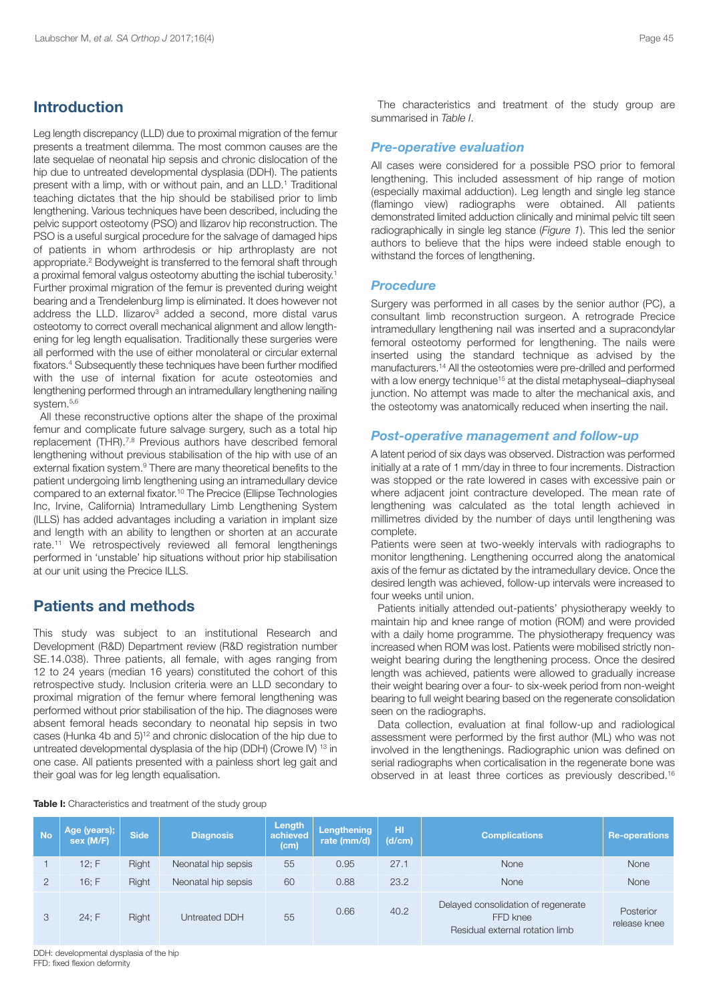## **Introduction**

Leg length discrepancy (LLD) due to proximal migration of the femur presents a treatment dilemma. The most common causes are the late sequelae of neonatal hip sepsis and chronic dislocation of the hip due to untreated developmental dysplasia (DDH). The patients present with a limp, with or without pain, and an LLD. <sup>1</sup> Traditional teaching dictates that the hip should be stabilised prior to limb lengthening. Various techniques have been described, including the pelvic support osteotomy (PSO) and Ilizarov hip reconstruction. The PSO is a useful surgical procedure for the salvage of damaged hips of patients in whom arthrodesis or hip arthroplasty are not appropriate. <sup>2</sup> Bodyweight is transferred to the femoral shaft through a proximal femoral valgus osteotomy abutting the ischial tuberosity. 1 Further proximal migration of the femur is prevented during weight bearing and a Trendelenburg limp is eliminated. It does however not address the LLD. Ilizarov<sup>3</sup> added a second, more distal varus osteotomy to correct overall mechanical alignment and allow lengthening for leg length equalisation. Traditionally these surgeries were all performed with the use of either monolateral or circular external fixators. <sup>4</sup> Subsequently these techniques have been further modified with the use of internal fixation for acute osteotomies and lengthening performed through an intramedullary lengthening nailing system. 5,6

All these reconstructive options alter the shape of the proximal femur and complicate future salvage surgery, such as a total hip replacement (THR).<sup>7,8</sup> Previous authors have described femoral lengthening without previous stabilisation of the hip with use of an external fixation system. <sup>9</sup> There are many theoretical benefits to the patient undergoing limb lengthening using an intramedullary device compared to an external fixator. <sup>10</sup> The Precice (Ellipse Technologies Inc, Irvine, California) Intramedullary Limb Lengthening System (ILLS) has added advantages including a variation in implant size and length with an ability to lengthen or shorten at an accurate rate. <sup>11</sup> We retrospectively reviewed all femoral lengthenings performed in 'unstable' hip situations without prior hip stabilisation at our unit using the Precice ILLS.

# **Patients and methods**

This study was subject to an institutional Research and Development (R&D) Department review (R&D registration number SE.14.038). Three patients, all female, with ages ranging from 12 to 24 years (median 16 years) constituted the cohort of this retrospective study. Inclusion criteria were an LLD secondary to proximal migration of the femur where femoral lengthening was performed without prior stabilisation of the hip. The diagnoses were absent femoral heads secondary to neonatal hip sepsis in two cases (Hunka 4b and 5) <sup>12</sup> and chronic dislocation of the hip due to untreated developmental dysplasia of the hip (DDH) (Crowe IV) <sup>13</sup> in one case. All patients presented with a painless short leg gait and their goal was for leg length equalisation.

The characteristics and treatment of the study group are summarised in *Table I*.

## *Pre-operative evaluation*

All cases were considered for a possible PSO prior to femoral lengthening. This included assessment of hip range of motion (especially maximal adduction). Leg length and single leg stance (flamingo view) radiographs were obtained. All patients demonstrated limited adduction clinically and minimal pelvic tilt seen radiographically in single leg stance (*Figure 1*). This led the senior authors to believe that the hips were indeed stable enough to withstand the forces of lengthening.

### *Procedure*

Surgery was performed in all cases by the senior author (PC), a consultant limb reconstruction surgeon. A retrograde Precice intramedullary lengthening nail was inserted and a supracondylar femoral osteotomy performed for lengthening. The nails were inserted using the standard technique as advised by the manufacturers. <sup>14</sup> All the osteotomies were pre-drilled and performed with a low energy technique<sup>15</sup> at the distal metaphyseal-diaphyseal junction. No attempt was made to alter the mechanical axis, and the osteotomy was anatomically reduced when inserting the nail.

## *Post-operative management and follow-up*

A latent period of six days was observed. Distraction was performed initially at a rate of 1 mm/day in three to four increments. Distraction was stopped or the rate lowered in cases with excessive pain or where adjacent joint contracture developed. The mean rate of lengthening was calculated as the total length achieved in millimetres divided by the number of days until lengthening was complete.

Patients were seen at two-weekly intervals with radiographs to monitor lengthening. Lengthening occurred along the anatomical axis of the femur as dictated by the intramedullary device. Once the desired length was achieved, follow-up intervals were increased to four weeks until union.

Patients initially attended out-patients' physiotherapy weekly to maintain hip and knee range of motion (ROM) and were provided with a daily home programme. The physiotherapy frequency was increased when ROM was lost. Patients were mobilised strictly nonweight bearing during the lengthening process. Once the desired length was achieved, patients were allowed to gradually increase their weight bearing over a four- to six-week period from non-weight bearing to full weight bearing based on the regenerate consolidation seen on the radiographs.

Data collection, evaluation at final follow-up and radiological assessment were performed by the first author (ML) who was not involved in the lengthenings. Radiographic union was defined on serial radiographs when corticalisation in the regenerate bone was observed in at least three cortices as previously described.<sup>16</sup>

**Table I:** Characteristics and treatment of the study group

| <b>No</b>      | Age (years);<br>sex (M/F) | <b>Side</b> | <b>Diagnosis</b>    | Length<br>achieved<br>(cm) | Lengthening<br>rate (mm/d) | HI<br>(d/cm) | <b>Complications</b>                                                               | <b>Re-operations</b>      |
|----------------|---------------------------|-------------|---------------------|----------------------------|----------------------------|--------------|------------------------------------------------------------------------------------|---------------------------|
|                | 12; F                     | Right       | Neonatal hip sepsis | 55                         | 0.95                       | 27.1         | None                                                                               | None                      |
| $\overline{2}$ | 16; F                     | Right       | Neonatal hip sepsis | 60                         | 0.88                       | 23.2         | <b>None</b>                                                                        | None                      |
| 3              | 24; F                     | Right       | Untreated DDH       | 55                         | 0.66                       | 40.2         | Delayed consolidation of regenerate<br>FFD knee<br>Residual external rotation limb | Posterior<br>release knee |

DDH: developmental dysplasia of the hip FFD: fixed flexion deformity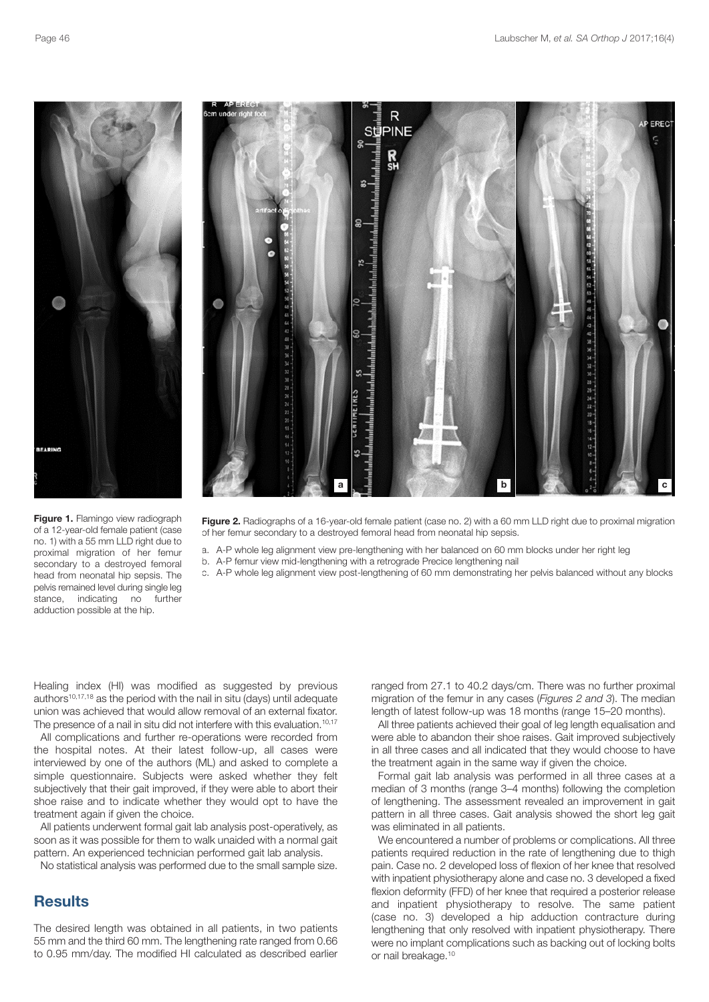

**Figure 2.** Radiographs of a 16-year-old female patient (case no. 2) with a 60 mm LLD right due to proximal migration of her femur secondary to a destroyed femoral head from neonatal hip sepsis.

- a. A-P whole leg alignment view pre-lengthening with her balanced on 60 mm blocks under her right leg
- b. A-P femur view mid-lengthening with a retrograde Precice lengthening nail
- c. A-P whole leg alignment view post-lengthening of 60 mm demonstrating her pelvis balanced without any blocks

Healing index (HI) was modified as suggested by previous authors10,17,18 as the period with the nail in situ (days) until adequate union was achieved that would allow removal of an external fixator. The presence of a nail in situ did not interfere with this evaluation.<sup>10,17</sup>

All complications and further re-operations were recorded from the hospital notes. At their latest follow-up, all cases were interviewed by one of the authors (ML) and asked to complete a simple questionnaire. Subjects were asked whether they felt subjectively that their gait improved, if they were able to abort their shoe raise and to indicate whether they would opt to have the treatment again if given the choice.

All patients underwent formal gait lab analysis post-operatively, as soon as it was possible for them to walk unaided with a normal gait pattern. An experienced technician performed gait lab analysis.

No statistical analysis was performed due to the small sample size.

## **Results**

The desired length was obtained in all patients, in two patients 55 mm and the third 60 mm. The lengthening rate ranged from 0.66 to 0.95 mm/day. The modified HI calculated as described earlier ranged from 27.1 to 40.2 days/cm. There was no further proximal migration of the femur in any cases (*Figures 2 and 3*). The median length of latest follow-up was 18 months (range 15–20 months).

All three patients achieved their goal of leg length equalisation and were able to abandon their shoe raises. Gait improved subjectively in all three cases and all indicated that they would choose to have the treatment again in the same way if given the choice.

Formal gait lab analysis was performed in all three cases at a median of 3 months (range 3–4 months) following the completion of lengthening. The assessment revealed an improvement in gait pattern in all three cases. Gait analysis showed the short leg gait was eliminated in all patients.

We encountered a number of problems or complications. All three patients required reduction in the rate of lengthening due to thigh pain. Case no. 2 developed loss of flexion of her knee that resolved with inpatient physiotherapy alone and case no. 3 developed a fixed flexion deformity (FFD) of her knee that required a posterior release and inpatient physiotherapy to resolve. The same patient (case no. 3) developed a hip adduction contracture during lengthening that only resolved with inpatient physiotherapy. There were no implant complications such as backing out of locking bolts or nail breakage. 10

**Figure 1.** Flamingo view radiograph of a 12-year-old female patient (case no. 1) with a 55 mm LLD right due to proximal migration of her femur secondary to a destroyed femoral head from neonatal hip sepsis. The pelvis remained level during single leg stance, indicating no further adduction possible at the hip.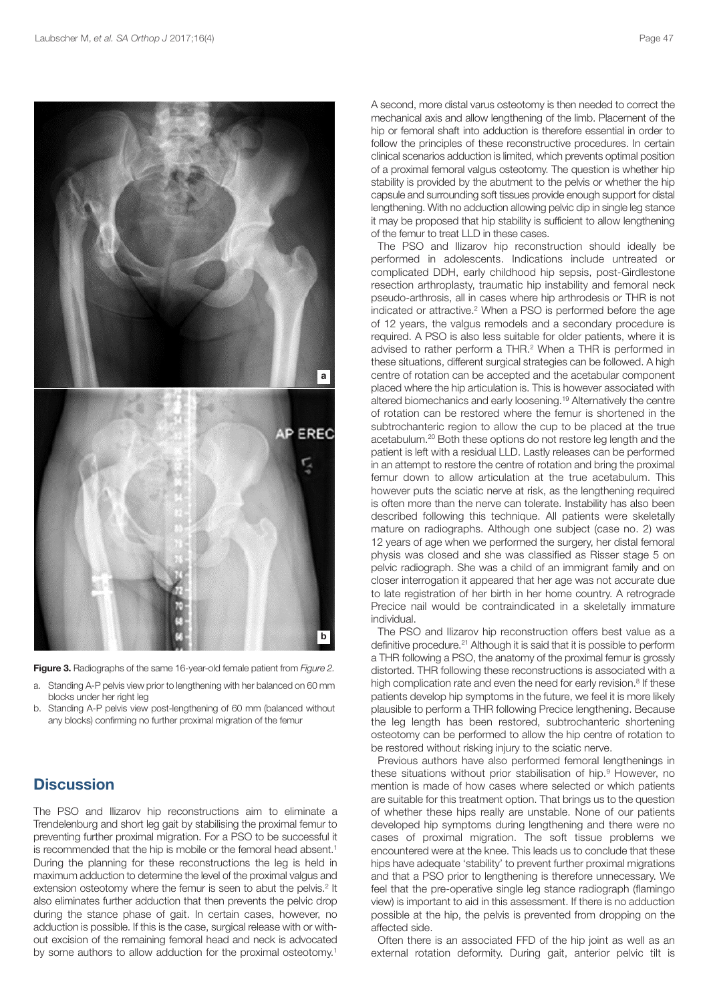

**Figure 3.** Radiographs of the same 16-year-old female patient from *Figure 2.*

- a. Standing A-P pelvis view prior to lengthening with her balanced on 60 mm blocks under her right leg
- b. Standing A-P pelvis view post-lengthening of 60 mm (balanced without any blocks) confirming no further proximal migration of the femur

## **Discussion**

The PSO and Ilizarov hip reconstructions aim to eliminate a Trendelenburg and short leg gait by stabilising the proximal femur to preventing further proximal migration. For a PSO to be successful it is recommended that the hip is mobile or the femoral head absent. 1 During the planning for these reconstructions the leg is held in maximum adduction to determine the level of the proximal valgus and extension osteotomy where the femur is seen to abut the pelvis.<sup>2</sup> It also eliminates further adduction that then prevents the pelvic drop during the stance phase of gait. In certain cases, however, no adduction is possible. If this is the case, surgical release with or without excision of the remaining femoral head and neck is advocated by some authors to allow adduction for the proximal osteotomy. 1

A second, more distal varus osteotomy is then needed to correct the mechanical axis and allow lengthening of the limb. Placement of the hip or femoral shaft into adduction is therefore essential in order to follow the principles of these reconstructive procedures. In certain clinical scenarios adduction is limited, which prevents optimal position of a proximal femoral valgus osteotomy. The question is whether hip stability is provided by the abutment to the pelvis or whether the hip capsule and surrounding soft tissues provide enough support for distal lengthening. With no adduction allowing pelvic dip in single leg stance it may be proposed that hip stability is sufficient to allow lengthening of the femur to treat LLD in these cases.

The PSO and Ilizarov hip reconstruction should ideally be performed in adolescents. Indications include untreated or complicated DDH, early childhood hip sepsis, post-Girdlestone resection arthroplasty, traumatic hip instability and femoral neck pseudo-arthrosis, all in cases where hip arthrodesis or THR is not indicated or attractive. <sup>2</sup> When a PSO is performed before the age of 12 years, the valgus remodels and a secondary procedure is required. A PSO is also less suitable for older patients, where it is advised to rather perform a THR. <sup>2</sup> When a THR is performed in these situations, different surgical strategies can be followed. A high centre of rotation can be accepted and the acetabular component placed where the hip articulation is. This is however associated with altered biomechanics and early loosening. <sup>19</sup> Alternatively the centre of rotation can be restored where the femur is shortened in the subtrochanteric region to allow the cup to be placed at the true acetabulum. <sup>20</sup> Both these options do not restore leg length and the patient is left with a residual LLD. Lastly releases can be performed in an attempt to restore the centre of rotation and bring the proximal femur down to allow articulation at the true acetabulum. This however puts the sciatic nerve at risk, as the lengthening required is often more than the nerve can tolerate. Instability has also been described following this technique. All patients were skeletally mature on radiographs. Although one subject (case no. 2) was 12 years of age when we performed the surgery, her distal femoral physis was closed and she was classified as Risser stage 5 on pelvic radiograph. She was a child of an immigrant family and on closer interrogation it appeared that her age was not accurate due to late registration of her birth in her home country. A retrograde Precice nail would be contraindicated in a skeletally immature individual.

The PSO and Ilizarov hip reconstruction offers best value as a definitive procedure. <sup>21</sup> Although it is said that it is possible to perform a THR following a PSO, the anatomy of the proximal femur is grossly distorted. THR following these reconstructions is associated with a high complication rate and even the need for early revision.<sup>8</sup> If these patients develop hip symptoms in the future, we feel it is more likely plausible to perform a THR following Precice lengthening. Because the leg length has been restored, subtrochanteric shortening osteotomy can be performed to allow the hip centre of rotation to be restored without risking injury to the sciatic nerve.

Previous authors have also performed femoral lengthenings in these situations without prior stabilisation of hip. <sup>9</sup> However, no mention is made of how cases where selected or which patients are suitable for this treatment option. That brings us to the question of whether these hips really are unstable. None of our patients developed hip symptoms during lengthening and there were no cases of proximal migration. The soft tissue problems we encountered were at the knee. This leads us to conclude that these hips have adequate 'stability' to prevent further proximal migrations and that a PSO prior to lengthening is therefore unnecessary. We feel that the pre-operative single leg stance radiograph (flamingo view) is important to aid in this assessment. If there is no adduction possible at the hip, the pelvis is prevented from dropping on the affected side.

Often there is an associated FFD of the hip joint as well as an external rotation deformity. During gait, anterior pelvic tilt is